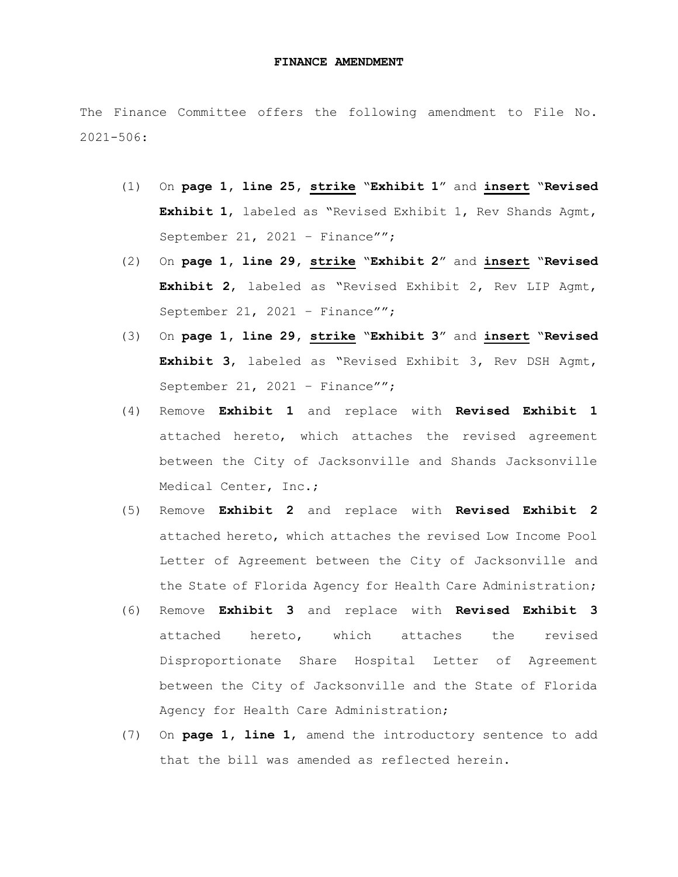## **FINANCE AMENDMENT**

The Finance Committee offers the following amendment to File No. 2021-506:

- (1) On **page 1, line 25, strike** "**Exhibit 1**" and **insert** "**Revised Exhibit 1**, labeled as "Revised Exhibit 1, Rev Shands Agmt, September 21, 2021 - Finance"";
- (2) On **page 1, line 29, strike** "**Exhibit 2**" and **insert** "**Revised Exhibit 2**, labeled as "Revised Exhibit 2, Rev LIP Agmt, September 21, 2021 - Finance"";
- (3) On **page 1, line 29, strike** "**Exhibit 3**" and **insert** "**Revised Exhibit 3**, labeled as "Revised Exhibit 3, Rev DSH Agmt, September 21, 2021 - Finance"";
- (4) Remove **Exhibit 1** and replace with **Revised Exhibit 1** attached hereto, which attaches the revised agreement between the City of Jacksonville and Shands Jacksonville Medical Center, Inc.;
- (5) Remove **Exhibit 2** and replace with **Revised Exhibit 2** attached hereto, which attaches the revised Low Income Pool Letter of Agreement between the City of Jacksonville and the State of Florida Agency for Health Care Administration;
- (6) Remove **Exhibit 3** and replace with **Revised Exhibit 3**  attached hereto, which attaches the revised Disproportionate Share Hospital Letter of Agreement between the City of Jacksonville and the State of Florida Agency for Health Care Administration;
- (7) On **page 1, line 1**, amend the introductory sentence to add that the bill was amended as reflected herein.